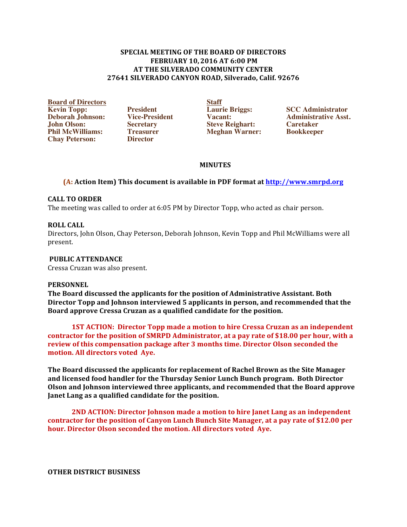### **SPECIAL MEETING OF THE BOARD OF DIRECTORS FEBRUARY 10, 2016 AT 6:00 PM AT THE SILVERADO COMMUNITY CENTER 27641(SILVERADO(CANYON(ROAD,(Silverado,(Calif.(92676**

**Board of Directors**<br> **Board of Directors**<br> **Board of Directors**<br> **President Board of Directors Board of Director Briggs: Deborah Johnson: Vice-President Vacant: Administrative Association Vacant: Administrative Association: Caretaker John Olson: Secretary Steve Reighart: Caretaker Chay Peterson:** 

**Philo Meghan Warner: Philo Meghan Warner: Book** 

**Kevin Topp: President Laurie Briggs: SCC Administrator**

# **MINUTES**

# **(A: Action Item) This document is available in PDF format at http://www.smrpd.org**

### **CALL(TO(ORDER**

The meeting was called to order at  $6:05$  PM by Director Topp, who acted as chair person.

### **ROLL CALL**

Directors, John Olson, Chay Peterson, Deborah Johnson, Kevin Topp and Phil McWilliams were all present.

### PUBLIC ATTENDANCE

Cressa Cruzan was also present.

#### **PERSONNEL**

**The Board discussed the applicants for the position of Administrative Assistant. Both Director Topp and Johnson interviewed 5 applicants in person, and recommended that the** Board approve Cressa Cruzan as a qualified candidate for the position.

**1ST ACTION: Director Topp made a motion to hire Cressa Cruzan as an independent** contractor for the position of SMRPD Administrator, at a pay rate of \$18.00 per hour, with a **review of this compensation package after 3 months time. Director Olson seconded the** motion. All directors voted Aye.

**The Board discussed the applicants for replacement of Rachel Brown as the Site Manager** and licensed food handler for the Thursday Senior Lunch Bunch program. Both Director **Olson and Johnson interviewed three applicants, and recommended that the Board approve** Janet Lang as a qualified candidate for the position.

**2ND ACTION: Director Johnson made a motion to hire Janet Lang as an independent contractor for the position of Canyon Lunch Bunch Site Manager, at a pay rate of \$12.00 per** hour. Director Olson seconded the motion. All directors voted Aye.

**OTHER DISTRICT BUSINESS**